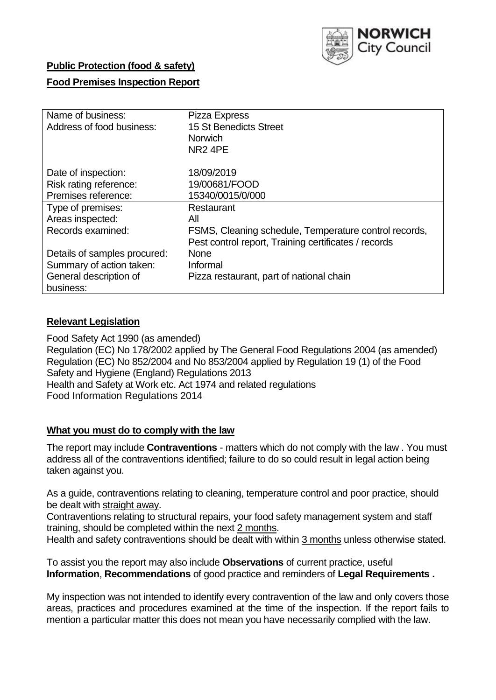

### **Public Protection (food & safety)**

### **Food Premises Inspection Report**

| Name of business:            | Pizza Express                                         |
|------------------------------|-------------------------------------------------------|
| Address of food business:    | 15 St Benedicts Street                                |
|                              | <b>Norwich</b>                                        |
|                              | NR <sub>2</sub> 4PE                                   |
| Date of inspection:          | 18/09/2019                                            |
| Risk rating reference:       | 19/00681/FOOD                                         |
| Premises reference:          | 15340/0015/0/000                                      |
| Type of premises:            | Restaurant                                            |
| Areas inspected:             | All                                                   |
| Records examined:            | FSMS, Cleaning schedule, Temperature control records, |
|                              | Pest control report, Training certificates / records  |
| Details of samples procured: | <b>None</b>                                           |
| Summary of action taken:     | Informal                                              |
| General description of       | Pizza restaurant, part of national chain              |
| business:                    |                                                       |

#### **Relevant Legislation**

Food Safety Act 1990 (as amended) Regulation (EC) No 178/2002 applied by The General Food Regulations 2004 (as amended) Regulation (EC) No 852/2004 and No 853/2004 applied by Regulation 19 (1) of the Food Safety and Hygiene (England) Regulations 2013 Health and Safety at Work etc. Act 1974 and related regulations Food Information Regulations 2014

#### **What you must do to comply with the law**

The report may include **Contraventions** - matters which do not comply with the law . You must address all of the contraventions identified; failure to do so could result in legal action being taken against you.

As a guide, contraventions relating to cleaning, temperature control and poor practice, should be dealt with straight away.

Contraventions relating to structural repairs, your food safety management system and staff training, should be completed within the next 2 months.

Health and safety contraventions should be dealt with within 3 months unless otherwise stated.

To assist you the report may also include **Observations** of current practice, useful **Information**, **Recommendations** of good practice and reminders of **Legal Requirements .**

My inspection was not intended to identify every contravention of the law and only covers those areas, practices and procedures examined at the time of the inspection. If the report fails to mention a particular matter this does not mean you have necessarily complied with the law.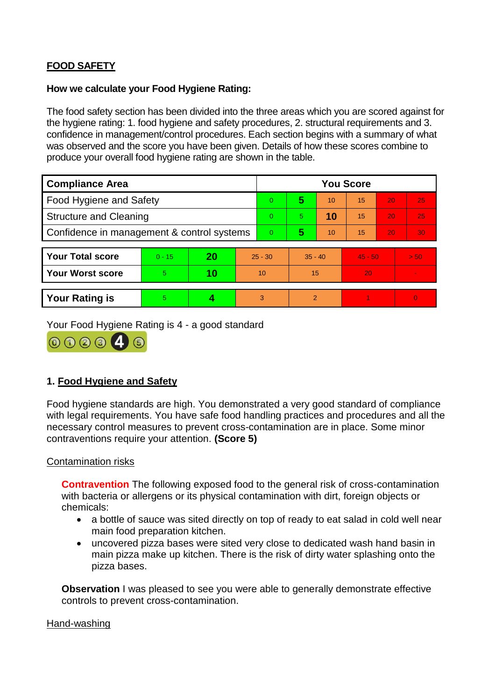# **FOOD SAFETY**

#### **How we calculate your Food Hygiene Rating:**

The food safety section has been divided into the three areas which you are scored against for the hygiene rating: 1. food hygiene and safety procedures, 2. structural requirements and 3. confidence in management/control procedures. Each section begins with a summary of what was observed and the score you have been given. Details of how these scores combine to produce your overall food hygiene rating are shown in the table.

| <b>Compliance Area</b>                     |          |    |                | <b>You Score</b> |           |    |           |    |                |  |  |
|--------------------------------------------|----------|----|----------------|------------------|-----------|----|-----------|----|----------------|--|--|
| Food Hygiene and Safety                    |          |    |                | $\Omega$         | 5         | 10 | 15        | 20 | 25             |  |  |
| <b>Structure and Cleaning</b>              |          |    |                | $\Omega$         | 5.        | 10 | 15        | 20 | 25             |  |  |
| Confidence in management & control systems |          |    | $\overline{0}$ | 5                | 10        | 15 | 20        | 30 |                |  |  |
|                                            |          |    |                |                  |           |    |           |    |                |  |  |
| <b>Your Total score</b>                    | $0 - 15$ | 20 | $25 - 30$      |                  | $35 - 40$ |    | $45 - 50$ |    | > 50           |  |  |
| Your Worst score                           | 5.       | 10 | 10             |                  | 15        |    | 20        |    |                |  |  |
|                                            |          |    |                |                  |           |    |           |    |                |  |  |
| <b>Your Rating is</b>                      | 5        |    |                | 3                | 2         |    |           |    | $\overline{0}$ |  |  |

Your Food Hygiene Rating is 4 - a good standard



## **1. Food Hygiene and Safety**

Food hygiene standards are high. You demonstrated a very good standard of compliance with legal requirements. You have safe food handling practices and procedures and all the necessary control measures to prevent cross-contamination are in place. Some minor contraventions require your attention. **(Score 5)**

#### Contamination risks

**Contravention** The following exposed food to the general risk of cross-contamination with bacteria or allergens or its physical contamination with dirt, foreign objects or chemicals:

- a bottle of sauce was sited directly on top of ready to eat salad in cold well near main food preparation kitchen.
- uncovered pizza bases were sited very close to dedicated wash hand basin in main pizza make up kitchen. There is the risk of dirty water splashing onto the pizza bases.

**Observation I** was pleased to see you were able to generally demonstrate effective controls to prevent cross-contamination.

#### Hand-washing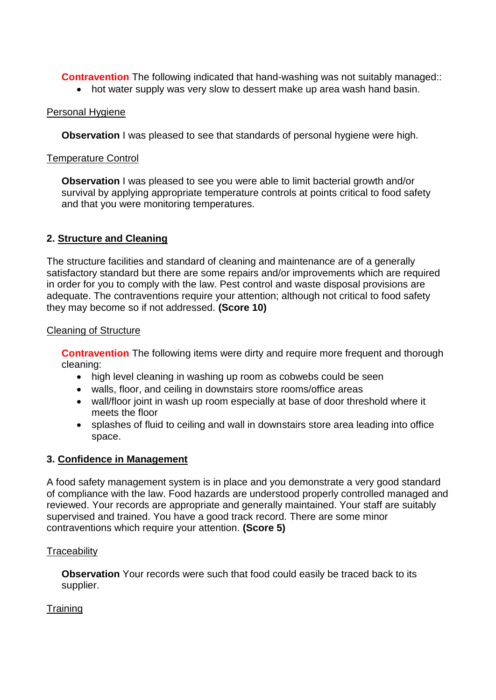**Contravention** The following indicated that hand-washing was not suitably managed::

• hot water supply was very slow to dessert make up area wash hand basin.

## Personal Hygiene

**Observation** I was pleased to see that standards of personal hygiene were high.

### Temperature Control

**Observation** I was pleased to see you were able to limit bacterial growth and/or survival by applying appropriate temperature controls at points critical to food safety and that you were monitoring temperatures.

## **2. Structure and Cleaning**

The structure facilities and standard of cleaning and maintenance are of a generally satisfactory standard but there are some repairs and/or improvements which are required in order for you to comply with the law. Pest control and waste disposal provisions are adequate. The contraventions require your attention; although not critical to food safety they may become so if not addressed. **(Score 10)**

### Cleaning of Structure

**Contravention** The following items were dirty and require more frequent and thorough cleaning:

- high level cleaning in washing up room as cobwebs could be seen
- walls, floor, and ceiling in downstairs store rooms/office areas
- wall/floor joint in wash up room especially at base of door threshold where it meets the floor
- splashes of fluid to ceiling and wall in downstairs store area leading into office space.

## **3. Confidence in Management**

A food safety management system is in place and you demonstrate a very good standard of compliance with the law. Food hazards are understood properly controlled managed and reviewed. Your records are appropriate and generally maintained. Your staff are suitably supervised and trained. You have a good track record. There are some minor contraventions which require your attention. **(Score 5)**

#### **Traceability**

**Observation** Your records were such that food could easily be traced back to its supplier.

## **Training**